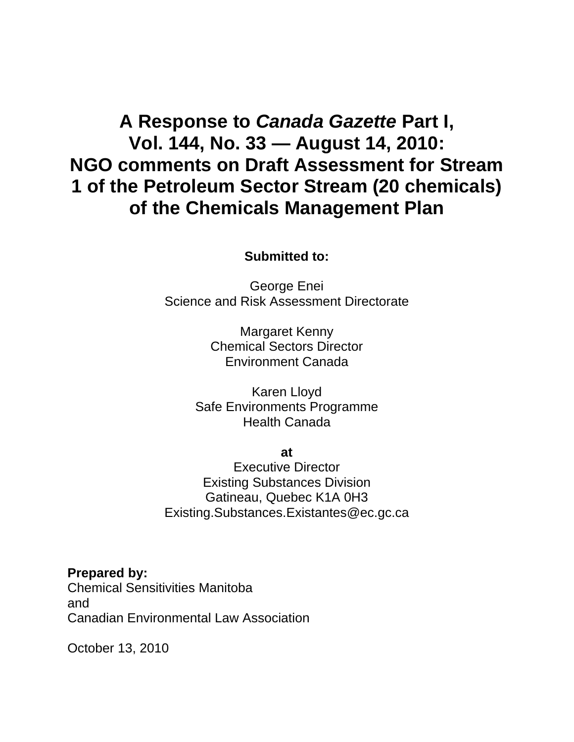# **A Response to** *Canada Gazette* **Part I, Vol. 144, No. 33 — August 14, 2010: NGO comments on Draft Assessment for Stream 1 of the Petroleum Sector Stream (20 chemicals) of the Chemicals Management Plan**

## **Submitted to:**

George Enei Science and Risk Assessment Directorate

> Margaret Kenny Chemical Sectors Director Environment Canada

Karen Lloyd Safe Environments Programme Health Canada

**at** 

Executive Director Existing Substances Division Gatineau, Quebec K1A 0H3 Existing.Substances.Existantes@ec.gc.ca

**Prepared by:**  Chemical Sensitivities Manitoba and Canadian Environmental Law Association

October 13, 2010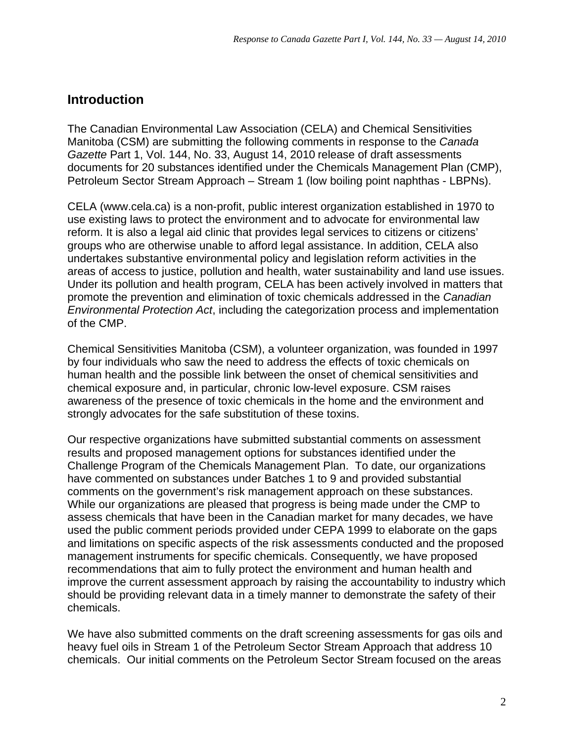## **Introduction**

The Canadian Environmental Law Association (CELA) and Chemical Sensitivities Manitoba (CSM) are submitting the following comments in response to the *Canada Gazette* Part 1, Vol. 144, No. 33, August 14, 2010 release of draft assessments documents for 20 substances identified under the Chemicals Management Plan (CMP), Petroleum Sector Stream Approach – Stream 1 (low boiling point naphthas - LBPNs).

CELA (www.cela.ca) is a non-profit, public interest organization established in 1970 to use existing laws to protect the environment and to advocate for environmental law reform. It is also a legal aid clinic that provides legal services to citizens or citizens' groups who are otherwise unable to afford legal assistance. In addition, CELA also undertakes substantive environmental policy and legislation reform activities in the areas of access to justice, pollution and health, water sustainability and land use issues. Under its pollution and health program, CELA has been actively involved in matters that promote the prevention and elimination of toxic chemicals addressed in the *Canadian Environmental Protection Act*, including the categorization process and implementation of the CMP.

Chemical Sensitivities Manitoba (CSM), a volunteer organization, was founded in 1997 by four individuals who saw the need to address the effects of toxic chemicals on human health and the possible link between the onset of chemical sensitivities and chemical exposure and, in particular, chronic low-level exposure. CSM raises awareness of the presence of toxic chemicals in the home and the environment and strongly advocates for the safe substitution of these toxins.

Our respective organizations have submitted substantial comments on assessment results and proposed management options for substances identified under the Challenge Program of the Chemicals Management Plan. To date, our organizations have commented on substances under Batches 1 to 9 and provided substantial comments on the government's risk management approach on these substances. While our organizations are pleased that progress is being made under the CMP to assess chemicals that have been in the Canadian market for many decades, we have used the public comment periods provided under CEPA 1999 to elaborate on the gaps and limitations on specific aspects of the risk assessments conducted and the proposed management instruments for specific chemicals. Consequently, we have proposed recommendations that aim to fully protect the environment and human health and improve the current assessment approach by raising the accountability to industry which should be providing relevant data in a timely manner to demonstrate the safety of their chemicals.

We have also submitted comments on the draft screening assessments for gas oils and heavy fuel oils in Stream 1 of the Petroleum Sector Stream Approach that address 10 chemicals. Our initial comments on the Petroleum Sector Stream focused on the areas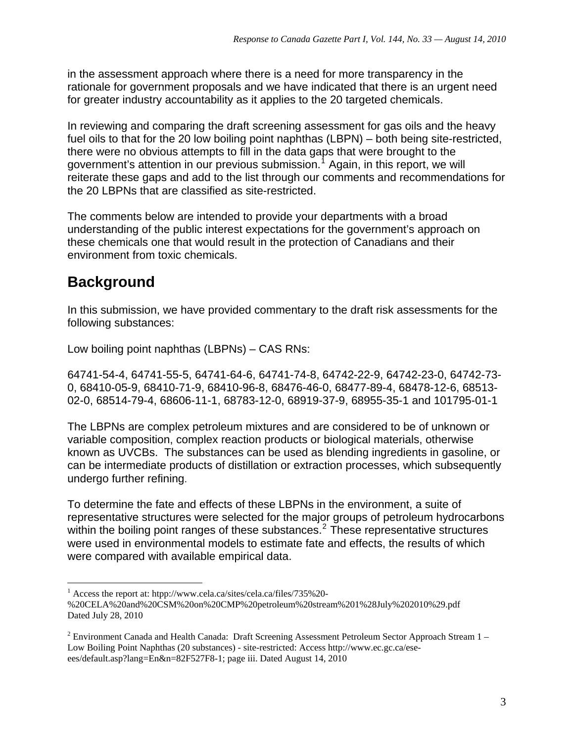in the assessment approach where there is a need for more transparency in the rationale for government proposals and we have indicated that there is an urgent need for greater industry accountability as it applies to the 20 targeted chemicals.

In reviewing and comparing the draft screening assessment for gas oils and the heavy fuel oils to that for the 20 low boiling point naphthas (LBPN) – both being site-restricted, there were no obvious attempts to fill in the data gaps that were brought to the government's attention in our previous submission.<sup>[1](#page-2-0)</sup> Again, in this report, we will reiterate these gaps and add to the list through our comments and recommendations for the 20 LBPNs that are classified as site-restricted.

The comments below are intended to provide your departments with a broad understanding of the public interest expectations for the government's approach on these chemicals one that would result in the protection of Canadians and their environment from toxic chemicals.

## **Background**

In this submission, we have provided commentary to the draft risk assessments for the following substances:

Low boiling point naphthas (LBPNs) – CAS RNs:

64741-54-4, 64741-55-5, 64741-64-6, 64741-74-8, 64742-22-9, 64742-23-0, 64742-73- 0, 68410-05-9, 68410-71-9, 68410-96-8, 68476-46-0, 68477-89-4, 68478-12-6, 68513- 02-0, 68514-79-4, 68606-11-1, 68783-12-0, 68919-37-9, 68955-35-1 and 101795-01-1

The LBPNs are complex petroleum mixtures and are considered to be of unknown or variable composition, complex reaction products or biological materials, otherwise known as UVCBs. The substances can be used as blending ingredients in gasoline, or can be intermediate products of distillation or extraction processes, which subsequently undergo further refining.

To determine the fate and effects of these LBPNs in the environment, a suite of representative structures were selected for the major groups of petroleum hydrocarbons within the boiling point ranges of these substances.<sup>[2](#page-2-1)</sup> These representative structures were used in environmental models to estimate fate and effects, the results of which were compared with available empirical data.

 $\overline{a}$ 1 Access the report at: htpp://www.cela.ca/sites/cela.ca/files/735%20-

<span id="page-2-0"></span><sup>%20</sup>CELA%20and%20CSM%20on%20CMP%20petroleum%20stream%201%28July%202010%29.pdf Dated July 28, 2010

<span id="page-2-1"></span> $2$  Environment Canada and Health Canada: Draft Screening Assessment Petroleum Sector Approach Stream 1 – Low Boiling Point Naphthas (20 substances) - site-restricted: Access [http://www.ec.gc.ca/ese](http://www.ec.gc.ca/ese-ees/default.asp?lang=En&n=82F527F8-1)[ees/default.asp?lang=En&n=82F527F8-1](http://www.ec.gc.ca/ese-ees/default.asp?lang=En&n=82F527F8-1); page iii. Dated August 14, 2010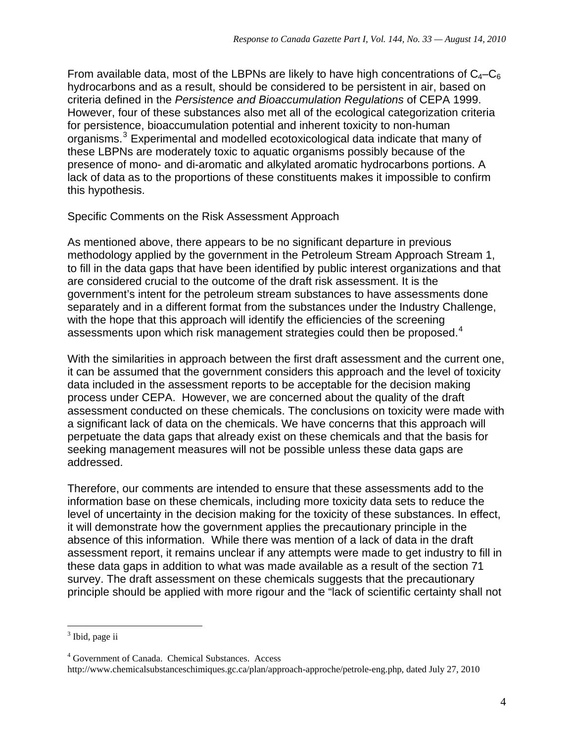From available data, most of the LBPNs are likely to have high concentrations of  $C_4-C_6$ hydrocarbons and as a result, should be considered to be persistent in air, based on criteria defined in the *Persistence and Bioaccumulation Regulations* of CEPA 1999. However, four of these substances also met all of the ecological categorization criteria for persistence, bioaccumulation potential and inherent toxicity to non-human organisms.<sup>[3](#page-3-0)</sup> Experimental and modelled ecotoxicological data indicate that many of these LBPNs are moderately toxic to aquatic organisms possibly because of the presence of mono- and di-aromatic and alkylated aromatic hydrocarbons portions. A lack of data as to the proportions of these constituents makes it impossible to confirm this hypothesis.

#### Specific Comments on the Risk Assessment Approach

As mentioned above, there appears to be no significant departure in previous methodology applied by the government in the Petroleum Stream Approach Stream 1, to fill in the data gaps that have been identified by public interest organizations and that are considered crucial to the outcome of the draft risk assessment. It is the government's intent for the petroleum stream substances to have assessments done separately and in a different format from the substances under the Industry Challenge, with the hope that this approach will identify the efficiencies of the screening assessments upon which risk management strategies could then be proposed.<sup>[4](#page-3-1)</sup>

With the similarities in approach between the first draft assessment and the current one, it can be assumed that the government considers this approach and the level of toxicity data included in the assessment reports to be acceptable for the decision making process under CEPA. However, we are concerned about the quality of the draft assessment conducted on these chemicals. The conclusions on toxicity were made with a significant lack of data on the chemicals. We have concerns that this approach will perpetuate the data gaps that already exist on these chemicals and that the basis for seeking management measures will not be possible unless these data gaps are addressed.

Therefore, our comments are intended to ensure that these assessments add to the information base on these chemicals, including more toxicity data sets to reduce the level of uncertainty in the decision making for the toxicity of these substances. In effect, it will demonstrate how the government applies the precautionary principle in the absence of this information. While there was mention of a lack of data in the draft assessment report, it remains unclear if any attempts were made to get industry to fill in these data gaps in addition to what was made available as a result of the section 71 survey. The draft assessment on these chemicals suggests that the precautionary principle should be applied with more rigour and the "lack of scientific certainty shall not

 $\overline{a}$ 

<span id="page-3-0"></span><sup>&</sup>lt;sup>3</sup> Ibid, page ii

<span id="page-3-1"></span><sup>4</sup> Government of Canada. Chemical Substances. Access

[http://www.chemicalsubstanceschimiques.gc.ca/plan/approach-approche/petrole-eng.php,](http://www.chemicalsubstanceschimiques.gc.ca/plan/approach-approche/petrole-eng.php) dated July 27, 2010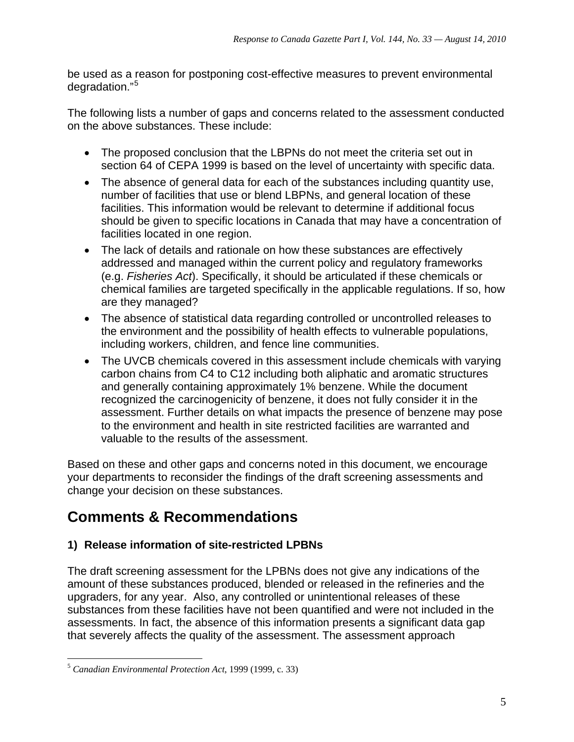be used as a reason for postponing cost-effective measures to prevent environmental degradation."[5](#page-4-0)

The following lists a number of gaps and concerns related to the assessment conducted on the above substances. These include:

- The proposed conclusion that the LBPNs do not meet the criteria set out in section 64 of CEPA 1999 is based on the level of uncertainty with specific data.
- The absence of general data for each of the substances including quantity use, number of facilities that use or blend LBPNs, and general location of these facilities. This information would be relevant to determine if additional focus should be given to specific locations in Canada that may have a concentration of facilities located in one region.
- The lack of details and rationale on how these substances are effectively addressed and managed within the current policy and regulatory frameworks (e.g. *Fisheries Act*). Specifically, it should be articulated if these chemicals or chemical families are targeted specifically in the applicable regulations. If so, how are they managed?
- The absence of statistical data regarding controlled or uncontrolled releases to the environment and the possibility of health effects to vulnerable populations, including workers, children, and fence line communities.
- The UVCB chemicals covered in this assessment include chemicals with varying carbon chains from C4 to C12 including both aliphatic and aromatic structures and generally containing approximately 1% benzene. While the document recognized the carcinogenicity of benzene, it does not fully consider it in the assessment. Further details on what impacts the presence of benzene may pose to the environment and health in site restricted facilities are warranted and valuable to the results of the assessment.

Based on these and other gaps and concerns noted in this document, we encourage your departments to reconsider the findings of the draft screening assessments and change your decision on these substances.

## **Comments & Recommendations**

## **1) Release information of site-restricted LPBNs**

The draft screening assessment for the LPBNs does not give any indications of the amount of these substances produced, blended or released in the refineries and the upgraders, for any year. Also, any controlled or unintentional releases of these substances from these facilities have not been quantified and were not included in the assessments. In fact, the absence of this information presents a significant data gap that severely affects the quality of the assessment. The assessment approach

<span id="page-4-0"></span> $\overline{a}$ <sup>5</sup> *Canadian Environmental Protection Act*, 1999 (1999, c. 33)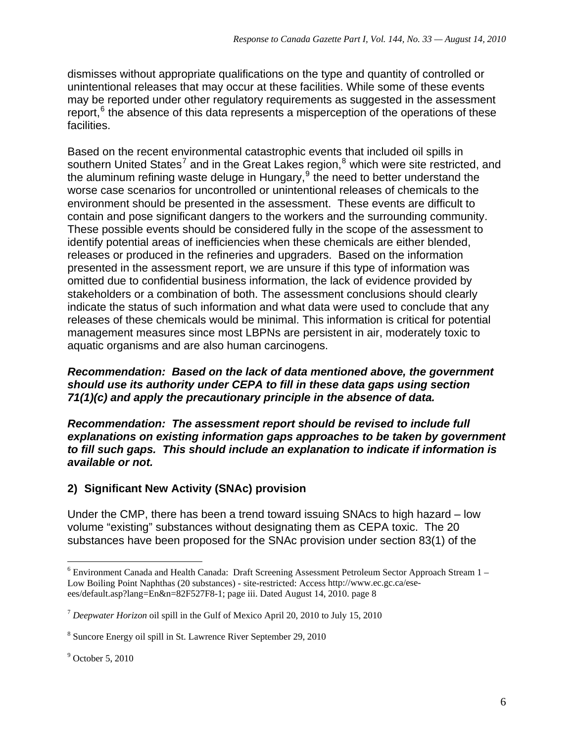dismisses without appropriate qualifications on the type and quantity of controlled or unintentional releases that may occur at these facilities. While some of these events may be reported under other regulatory requirements as suggested in the assessment report, $<sup>6</sup>$  $<sup>6</sup>$  $<sup>6</sup>$  the absence of this data represents a misperception of the operations of these</sup> facilities.

Based on the recent environmental catastrophic events that included oil spills in southern United States<sup>[7](#page-5-1)</sup> and in the Great Lakes region,<sup>[8](#page-5-2)</sup> which were site restricted, and the aluminum refining waste deluge in Hungary, $9$  the need to better understand the worse case scenarios for uncontrolled or unintentional releases of chemicals to the environment should be presented in the assessment. These events are difficult to contain and pose significant dangers to the workers and the surrounding community. These possible events should be considered fully in the scope of the assessment to identify potential areas of inefficiencies when these chemicals are either blended, releases or produced in the refineries and upgraders. Based on the information presented in the assessment report, we are unsure if this type of information was omitted due to confidential business information, the lack of evidence provided by stakeholders or a combination of both. The assessment conclusions should clearly indicate the status of such information and what data were used to conclude that any releases of these chemicals would be minimal. This information is critical for potential management measures since most LBPNs are persistent in air, moderately toxic to aquatic organisms and are also human carcinogens.

#### *Recommendation: Based on the lack of data mentioned above, the government should use its authority under CEPA to fill in these data gaps using section 71(1)(c) and apply the precautionary principle in the absence of data.*

*Recommendation: The assessment report should be revised to include full explanations on existing information gaps approaches to be taken by government to fill such gaps. This should include an explanation to indicate if information is available or not.* 

## **2) Significant New Activity (SNAc) provision**

Under the CMP, there has been a trend toward issuing SNAcs to high hazard – low volume "existing" substances without designating them as CEPA toxic. The 20 substances have been proposed for the SNAc provision under section 83(1) of the

 $\overline{a}$ 

<span id="page-5-0"></span> $6$  Environment Canada and Health Canada: Draft Screening Assessment Petroleum Sector Approach Stream 1 – Low Boiling Point Naphthas (20 substances) - site-restricted: Access [http://www.ec.gc.ca/ese](http://www.ec.gc.ca/ese-ees/default.asp?lang=En&n=82F527F8-1)[ees/default.asp?lang=En&n=82F527F8-1](http://www.ec.gc.ca/ese-ees/default.asp?lang=En&n=82F527F8-1); page iii. Dated August 14, 2010. page 8

<span id="page-5-1"></span><sup>7</sup> *Deepwater Horizon* oil spill in the Gulf of Mexico April 20, 2010 to July 15, 2010

<span id="page-5-2"></span><sup>8</sup> Suncore Energy oil spill in St. Lawrence River September 29, 2010

<span id="page-5-3"></span><sup>9</sup> October 5, 2010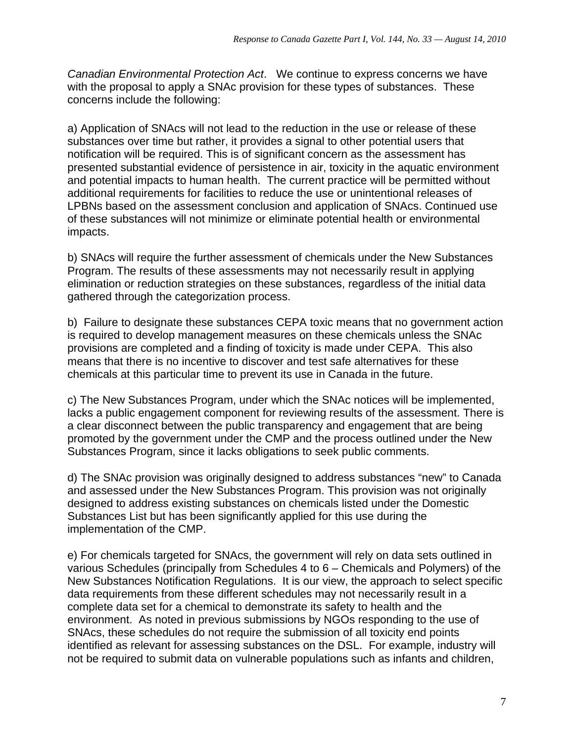*Canadian Environmental Protection Act*. We continue to express concerns we have with the proposal to apply a SNAc provision for these types of substances. These concerns include the following:

a) Application of SNAcs will not lead to the reduction in the use or release of these substances over time but rather, it provides a signal to other potential users that notification will be required. This is of significant concern as the assessment has presented substantial evidence of persistence in air, toxicity in the aquatic environment and potential impacts to human health. The current practice will be permitted without additional requirements for facilities to reduce the use or unintentional releases of LPBNs based on the assessment conclusion and application of SNAcs. Continued use of these substances will not minimize or eliminate potential health or environmental impacts.

b) SNAcs will require the further assessment of chemicals under the New Substances Program. The results of these assessments may not necessarily result in applying elimination or reduction strategies on these substances, regardless of the initial data gathered through the categorization process.

b) Failure to designate these substances CEPA toxic means that no government action is required to develop management measures on these chemicals unless the SNAc provisions are completed and a finding of toxicity is made under CEPA. This also means that there is no incentive to discover and test safe alternatives for these chemicals at this particular time to prevent its use in Canada in the future.

c) The New Substances Program, under which the SNAc notices will be implemented, lacks a public engagement component for reviewing results of the assessment. There is a clear disconnect between the public transparency and engagement that are being promoted by the government under the CMP and the process outlined under the New Substances Program, since it lacks obligations to seek public comments.

d) The SNAc provision was originally designed to address substances "new" to Canada and assessed under the New Substances Program. This provision was not originally designed to address existing substances on chemicals listed under the Domestic Substances List but has been significantly applied for this use during the implementation of the CMP.

e) For chemicals targeted for SNAcs, the government will rely on data sets outlined in various Schedules (principally from Schedules 4 to 6 – Chemicals and Polymers) of the New Substances Notification Regulations. It is our view, the approach to select specific data requirements from these different schedules may not necessarily result in a complete data set for a chemical to demonstrate its safety to health and the environment. As noted in previous submissions by NGOs responding to the use of SNAcs, these schedules do not require the submission of all toxicity end points identified as relevant for assessing substances on the DSL. For example, industry will not be required to submit data on vulnerable populations such as infants and children,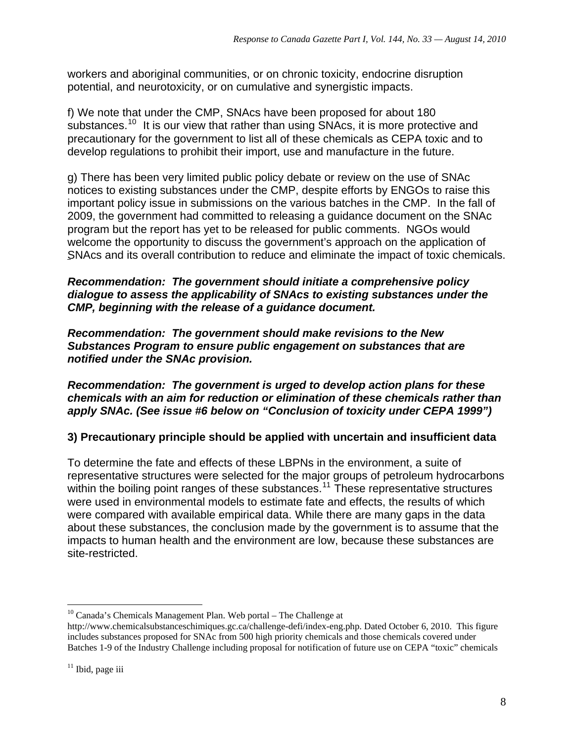workers and aboriginal communities, or on chronic toxicity, endocrine disruption potential, and neurotoxicity, or on cumulative and synergistic impacts.

f) We note that under the CMP, SNAcs have been proposed for about 180 substances.<sup>[10](#page-7-0)</sup> It is our view that rather than using SNAcs, it is more protective and precautionary for the government to list all of these chemicals as CEPA toxic and to develop regulations to prohibit their import, use and manufacture in the future.

g) There has been very limited public policy debate or review on the use of SNAc notices to existing substances under the CMP, despite efforts by ENGOs to raise this important policy issue in submissions on the various batches in the CMP. In the fall of 2009, the government had committed to releasing a guidance document on the SNAc program but the report has yet to be released for public comments. NGOs would welcome the opportunity to discuss the government's approach on the application of SNAcs and its overall contribution to reduce and eliminate the impact of toxic chemicals.

#### *Recommendation: The government should initiate a comprehensive policy dialogue to assess the applicability of SNAcs to existing substances under the CMP, beginning with the release of a guidance document.*

*Recommendation: The government should make revisions to the New Substances Program to ensure public engagement on substances that are notified under the SNAc provision.* 

#### *Recommendation: The government is urged to develop action plans for these chemicals with an aim for reduction or elimination of these chemicals rather than apply SNAc. (See issue #6 below on "Conclusion of toxicity under CEPA 1999")*

## **3) Precautionary principle should be applied with uncertain and insufficient data**

To determine the fate and effects of these LBPNs in the environment, a suite of representative structures were selected for the major groups of petroleum hydrocarbons within the boiling point ranges of these substances.<sup>[11](#page-7-1)</sup> These representative structures were used in environmental models to estimate fate and effects, the results of which were compared with available empirical data. While there are many gaps in the data about these substances, the conclusion made by the government is to assume that the impacts to human health and the environment are low, because these substances are site-restricted.

 $\overline{a}$  $10$  Canada's Chemicals Management Plan. Web portal – The Challenge at

<span id="page-7-0"></span>[http://www.chemicalsubstanceschimiques.gc.ca/challenge-defi/index-eng.php. Dated October 6,](http://www.chemicalsubstanceschimiques.gc.ca/challenge-defi/index-eng.php.%20Dated%20October%206) 2010. This figure includes substances proposed for SNAc from 500 high priority chemicals and those chemicals covered under Batches 1-9 of the Industry Challenge including proposal for notification of future use on CEPA "toxic" chemicals

<span id="page-7-1"></span> $11$  Ibid, page iii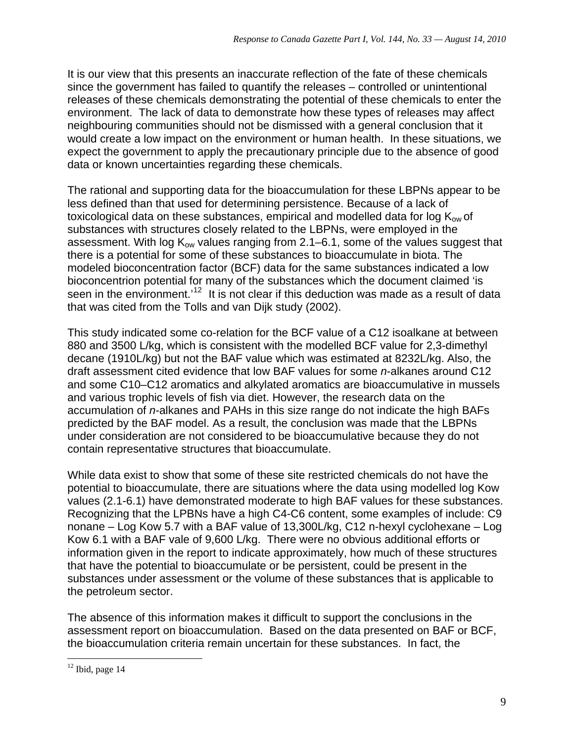It is our view that this presents an inaccurate reflection of the fate of these chemicals since the government has failed to quantify the releases – controlled or unintentional releases of these chemicals demonstrating the potential of these chemicals to enter the environment. The lack of data to demonstrate how these types of releases may affect neighbouring communities should not be dismissed with a general conclusion that it would create a low impact on the environment or human health. In these situations, we expect the government to apply the precautionary principle due to the absence of good data or known uncertainties regarding these chemicals.

The rational and supporting data for the bioaccumulation for these LBPNs appear to be less defined than that used for determining persistence. Because of a lack of toxicological data on these substances, empirical and modelled data for log  $K_{ow}$  of substances with structures closely related to the LBPNs, were employed in the assessment. With log  $K_{ow}$  values ranging from 2.1–6.1, some of the values suggest that there is a potential for some of these substances to bioaccumulate in biota. The modeled bioconcentration factor (BCF) data for the same substances indicated a low bioconcentrion potential for many of the substances which the document claimed 'is seen in the environment.<sup>[12](#page-8-0)</sup> It is not clear if this deduction was made as a result of data that was cited from the Tolls and van Dijk study (2002).

This study indicated some co-relation for the BCF value of a C12 isoalkane at between 880 and 3500 L/kg, which is consistent with the modelled BCF value for 2,3-dimethyl decane (1910L/kg) but not the BAF value which was estimated at 8232L/kg. Also, the draft assessment cited evidence that low BAF values for some *n*-alkanes around C12 and some C10–C12 aromatics and alkylated aromatics are bioaccumulative in mussels and various trophic levels of fish via diet. However, the research data on the accumulation of *n*-alkanes and PAHs in this size range do not indicate the high BAFs predicted by the BAF model. As a result, the conclusion was made that the LBPNs under consideration are not considered to be bioaccumulative because they do not contain representative structures that bioaccumulate.

While data exist to show that some of these site restricted chemicals do not have the potential to bioaccumulate, there are situations where the data using modelled log Kow values (2.1-6.1) have demonstrated moderate to high BAF values for these substances. Recognizing that the LPBNs have a high C4-C6 content, some examples of include: C9 nonane – Log Kow 5.7 with a BAF value of 13,300L/kg, C12 n-hexyl cyclohexane – Log Kow 6.1 with a BAF vale of 9,600 L/kg. There were no obvious additional efforts or information given in the report to indicate approximately, how much of these structures that have the potential to bioaccumulate or be persistent, could be present in the substances under assessment or the volume of these substances that is applicable to the petroleum sector.

The absence of this information makes it difficult to support the conclusions in the assessment report on bioaccumulation. Based on the data presented on BAF or BCF, the bioaccumulation criteria remain uncertain for these substances. In fact, the

 $\overline{a}$ 

<span id="page-8-0"></span> $12$  Ibid, page 14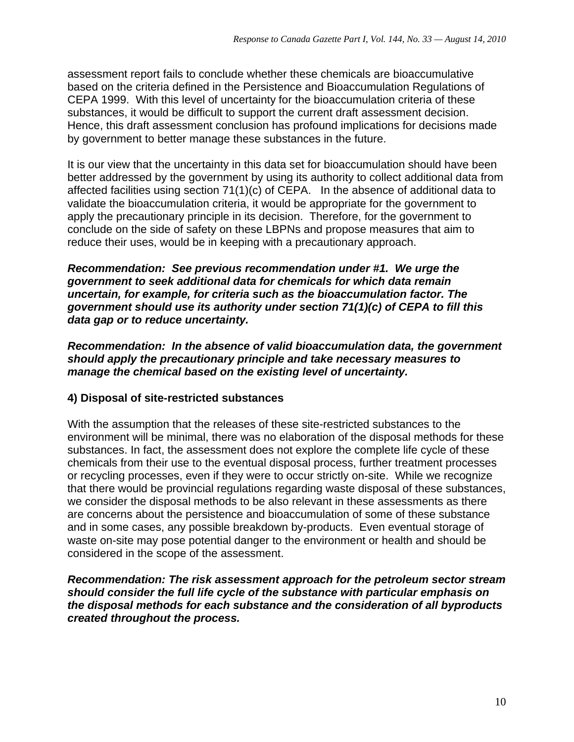assessment report fails to conclude whether these chemicals are bioaccumulative based on the criteria defined in the Persistence and Bioaccumulation Regulations of CEPA 1999. With this level of uncertainty for the bioaccumulation criteria of these substances, it would be difficult to support the current draft assessment decision. Hence, this draft assessment conclusion has profound implications for decisions made by government to better manage these substances in the future.

It is our view that the uncertainty in this data set for bioaccumulation should have been better addressed by the government by using its authority to collect additional data from affected facilities using section 71(1)(c) of CEPA. In the absence of additional data to validate the bioaccumulation criteria, it would be appropriate for the government to apply the precautionary principle in its decision. Therefore, for the government to conclude on the side of safety on these LBPNs and propose measures that aim to reduce their uses, would be in keeping with a precautionary approach.

*Recommendation: See previous recommendation under #1. We urge the government to seek additional data for chemicals for which data remain uncertain, for example, for criteria such as the bioaccumulation factor. The government should use its authority under section 71(1)(c) of CEPA to fill this data gap or to reduce uncertainty.* 

*Recommendation: In the absence of valid bioaccumulation data, the government should apply the precautionary principle and take necessary measures to manage the chemical based on the existing level of uncertainty.* 

## **4) Disposal of site-restricted substances**

With the assumption that the releases of these site-restricted substances to the environment will be minimal, there was no elaboration of the disposal methods for these substances. In fact, the assessment does not explore the complete life cycle of these chemicals from their use to the eventual disposal process, further treatment processes or recycling processes, even if they were to occur strictly on-site. While we recognize that there would be provincial regulations regarding waste disposal of these substances, we consider the disposal methods to be also relevant in these assessments as there are concerns about the persistence and bioaccumulation of some of these substance and in some cases, any possible breakdown by-products. Even eventual storage of waste on-site may pose potential danger to the environment or health and should be considered in the scope of the assessment.

*Recommendation: The risk assessment approach for the petroleum sector stream should consider the full life cycle of the substance with particular emphasis on the disposal methods for each substance and the consideration of all byproducts created throughout the process.*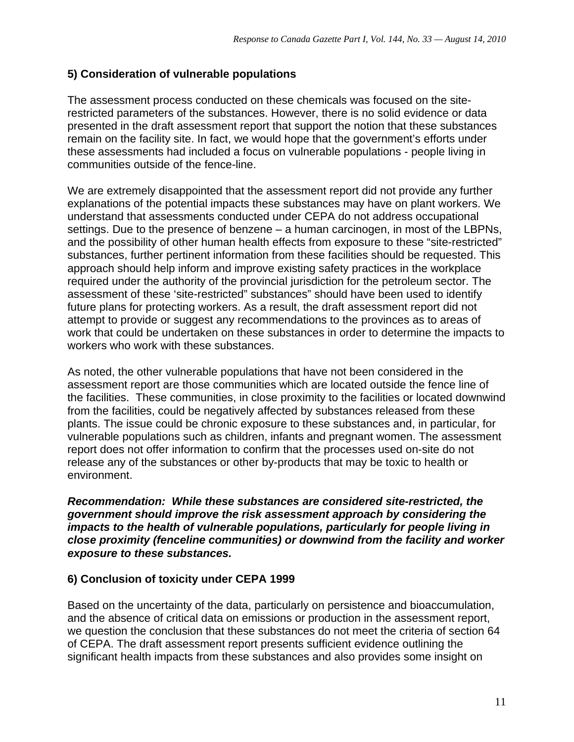#### **5) Consideration of vulnerable populations**

The assessment process conducted on these chemicals was focused on the siterestricted parameters of the substances. However, there is no solid evidence or data presented in the draft assessment report that support the notion that these substances remain on the facility site. In fact, we would hope that the government's efforts under these assessments had included a focus on vulnerable populations - people living in communities outside of the fence-line.

We are extremely disappointed that the assessment report did not provide any further explanations of the potential impacts these substances may have on plant workers. We understand that assessments conducted under CEPA do not address occupational settings. Due to the presence of benzene – a human carcinogen, in most of the LBPNs, and the possibility of other human health effects from exposure to these "site-restricted" substances, further pertinent information from these facilities should be requested. This approach should help inform and improve existing safety practices in the workplace required under the authority of the provincial jurisdiction for the petroleum sector. The assessment of these 'site-restricted" substances" should have been used to identify future plans for protecting workers. As a result, the draft assessment report did not attempt to provide or suggest any recommendations to the provinces as to areas of work that could be undertaken on these substances in order to determine the impacts to workers who work with these substances.

As noted, the other vulnerable populations that have not been considered in the assessment report are those communities which are located outside the fence line of the facilities. These communities, in close proximity to the facilities or located downwind from the facilities, could be negatively affected by substances released from these plants. The issue could be chronic exposure to these substances and, in particular, for vulnerable populations such as children, infants and pregnant women. The assessment report does not offer information to confirm that the processes used on-site do not release any of the substances or other by-products that may be toxic to health or environment.

*Recommendation: While these substances are considered site-restricted, the government should improve the risk assessment approach by considering the impacts to the health of vulnerable populations, particularly for people living in close proximity (fenceline communities) or downwind from the facility and worker exposure to these substances.* 

#### **6) Conclusion of toxicity under CEPA 1999**

Based on the uncertainty of the data, particularly on persistence and bioaccumulation, and the absence of critical data on emissions or production in the assessment report, we question the conclusion that these substances do not meet the criteria of section 64 of CEPA. The draft assessment report presents sufficient evidence outlining the significant health impacts from these substances and also provides some insight on